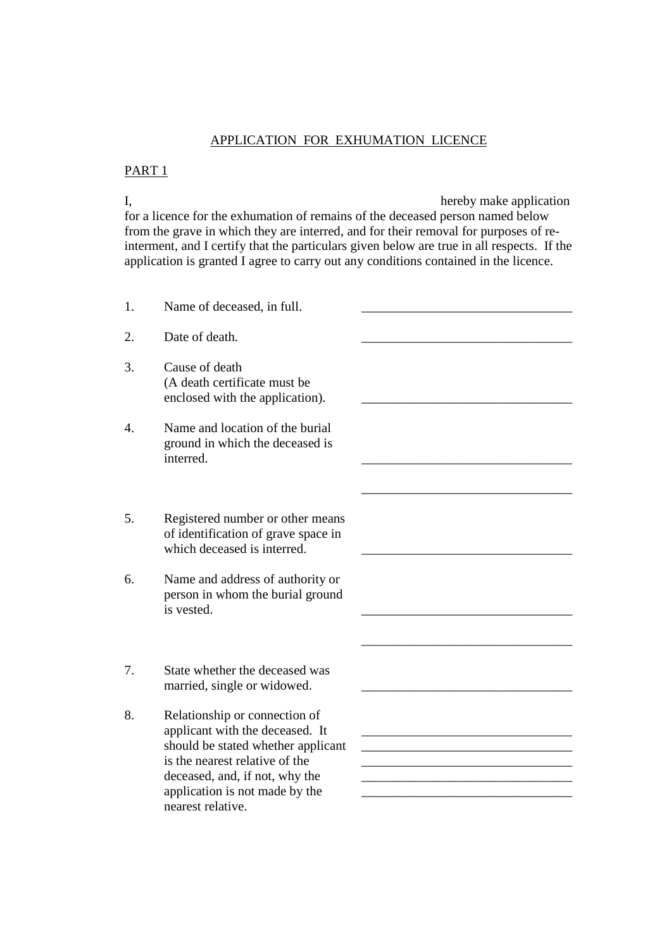# APPLICATION FOR EXHUMATION LICENCE

#### PART 1

I, hereby make application for a licence for the exhumation of remains of the deceased person named below from the grave in which they are interred, and for their removal for purposes of reinterment, and I certify that the particulars given below are true in all respects. If the application is granted I agree to carry out any conditions contained in the licence.

1. Name of deceased, in full. 2. Date of death. 3. Cause of death (A death certificate must be enclosed with the application). 4. Name and location of the burial ground in which the deceased is interred. \_\_\_\_\_\_\_\_\_\_\_\_\_\_\_\_\_\_\_\_\_\_\_\_\_\_\_\_\_\_\_\_  $\overline{\phantom{a}}$  , and the contract of the contract of the contract of the contract of the contract of the contract of the contract of the contract of the contract of the contract of the contract of the contract of the contrac 5. Registered number or other means of identification of grave space in which deceased is interred. 6. Name and address of authority or person in whom the burial ground is vested.  $\qquad \qquad \qquad \qquad \qquad \qquad$  $\overline{\phantom{a}}$  , and the contract of the contract of the contract of the contract of the contract of the contract of the contract of the contract of the contract of the contract of the contract of the contract of the contrac 7. State whether the deceased was married, single or widowed. 8. Relationship or connection of applicant with the deceased. It should be stated whether applicant is the nearest relative of the deceased, and, if not, why the application is not made by the nearest relative.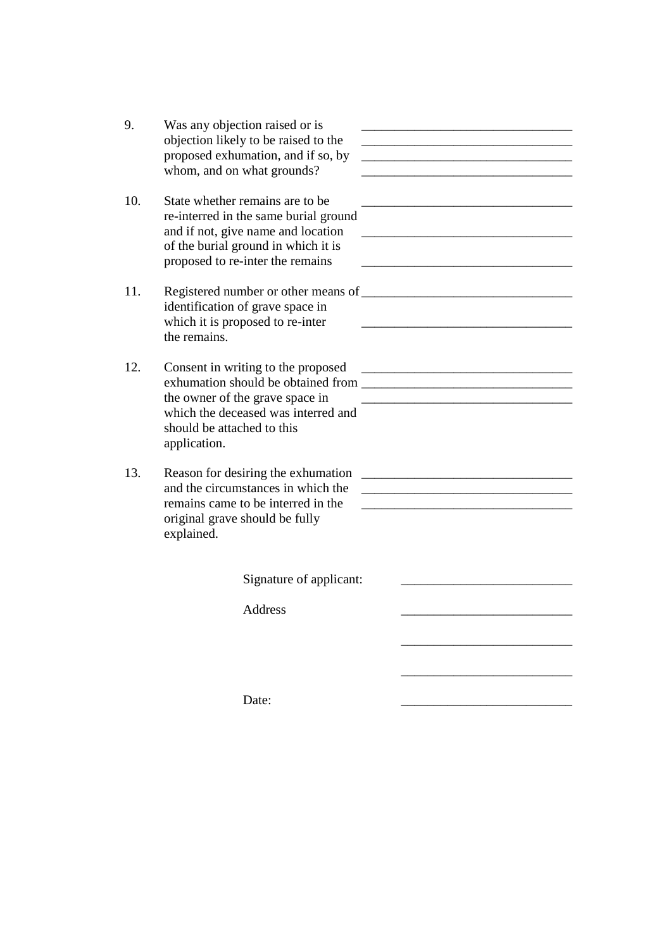| 9.  | Was any objection raised or is<br>objection likely to be raised to the<br>proposed exhumation, and if so, by<br>whom, and on what grounds?                                                 | <u> 1989 - Johann Harry Harry Harry Harry Harry Harry Harry Harry Harry Harry Harry Harry Harry Harry Harry Harry</u>                                                                                                                          |
|-----|--------------------------------------------------------------------------------------------------------------------------------------------------------------------------------------------|------------------------------------------------------------------------------------------------------------------------------------------------------------------------------------------------------------------------------------------------|
| 10. | State whether remains are to be.<br>re-interred in the same burial ground<br>and if not, give name and location<br>of the burial ground in which it is<br>proposed to re-inter the remains | <u> 1989 - Johann Harry Harry Harry Harry Harry Harry Harry Harry Harry Harry Harry Harry Harry Harry Harry Harry</u><br><u> 1980 - Johann Barbara, martin da basar da basar da basar da basar da basar da basar da basar da basar da basa</u> |
| 11. | identification of grave space in<br>which it is proposed to re-inter<br>the remains.                                                                                                       |                                                                                                                                                                                                                                                |
| 12. | Consent in writing to the proposed<br>the owner of the grave space in<br>which the deceased was interred and<br>should be attached to this<br>application.                                 |                                                                                                                                                                                                                                                |
| 13. | Reason for desiring the exhumation<br>and the circumstances in which the<br>remains came to be interred in the<br>original grave should be fully<br>explained.                             | <u> 1980 - Jan James James Barnett, fransk politik (d. 1980)</u><br><u> 1990 - Johann Barbara, martin amerikan bashkar (</u>                                                                                                                   |
|     | Signature of applicant:                                                                                                                                                                    |                                                                                                                                                                                                                                                |
|     | <b>Address</b>                                                                                                                                                                             |                                                                                                                                                                                                                                                |
|     |                                                                                                                                                                                            |                                                                                                                                                                                                                                                |
|     | Date:                                                                                                                                                                                      |                                                                                                                                                                                                                                                |